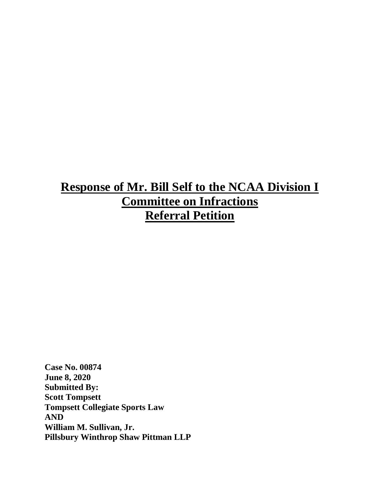## **Response of Mr. Bill Self to the NCAA Division I Committee on Infractions Referral Petition**

**Case No. 00874 June 8, 2020 Submitted By: Scott Tompsett Tompsett Collegiate Sports Law AND William M. Sullivan, Jr. Pillsbury Winthrop Shaw Pittman LLP**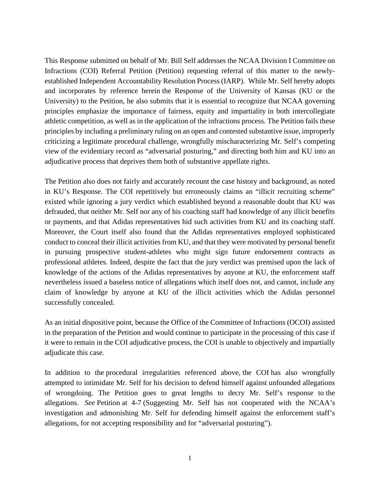This Response submitted on behalf of Mr. Bill Self addresses the NCAA Division I Committee on Infractions (COI) Referral Petition (Petition) requesting referral of this matter to the newlyestablished Independent Accountability Resolution Process (IARP). While Mr. Self hereby adopts and incorporates by reference herein the Response of the University of Kansas (KU or the University) to the Petition, he also submits that it is essential to recognize that NCAA governing principles emphasize the importance of fairness, equity and impartiality in both intercollegiate athletic competition, as well as in the application of the infractions process. The Petition fails these principles by including a preliminary ruling on an open and contested substantive issue, improperly criticizing a legitimate procedural challenge, wrongfully mischaracterizing Mr. Self's competing view of the evidentiary record as "adversarial posturing," and directing both him and KU into an adjudicative process that deprives them both of substantive appellate rights.

The Petition also does not fairly and accurately recount the case history and background, as noted in KU's Response. The COI repetitively but erroneously claims an "illicit recruiting scheme" existed while ignoring a jury verdict which established beyond a reasonable doubt that KU was defrauded, that neither Mr. Self nor any of his coaching staff had knowledge of any illicit benefits or payments, and that Adidas representatives hid such activities from KU and its coaching staff. Moreover, the Court itself also found that the Adidas representatives employed sophisticated conduct to conceal their illicit activities from KU, and that they were motivated by personal benefit in pursuing prospective student-athletes who might sign future endorsement contracts as professional athletes. Indeed, despite the fact that the jury verdict was premised upon the lack of knowledge of the actions of the Adidas representatives by anyone at KU, the enforcement staff nevertheless issued a baseless notice of allegations which itself does not, and cannot, include any claim of knowledge by anyone at KU of the illicit activities which the Adidas personnel successfully concealed.

As an initial dispositive point, because the Office of the Committee of Infractions (OCOI) assisted in the preparation of the Petition and would continue to participate in the processing of this case if it were to remain in the COI adjudicative process, the COI is unable to objectively and impartially adjudicate this case.

In addition to the procedural irregularities referenced above, the COI has also wrongfully attempted to intimidate Mr. Self for his decision to defend himself against unfounded allegations of wrongdoing. The Petition goes to great lengths to decry Mr. Self's response to the allegations. *See* Petition at 4-7 (Suggesting Mr. Self has not cooperated with the NCAA's investigation and admonishing Mr. Self for defending himself against the enforcement staff's allegations, for not accepting responsibility and for "adversarial posturing").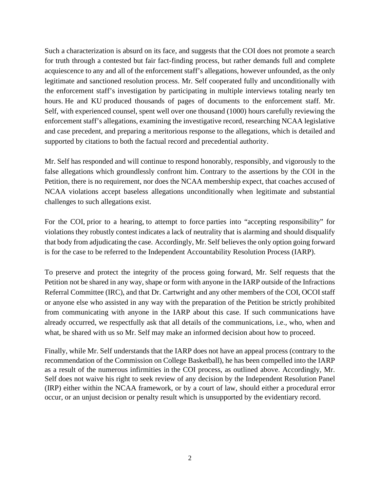Such a characterization is absurd on its face, and suggests that the COI does not promote a search for truth through a contested but fair fact-finding process, but rather demands full and complete acquiescence to any and all of the enforcement staff's allegations, however unfounded, as the only legitimate and sanctioned resolution process. Mr. Self cooperated fully and unconditionally with the enforcement staff's investigation by participating in multiple interviews totaling nearly ten hours. He and KU produced thousands of pages of documents to the enforcement staff. Mr. Self, with experienced counsel, spent well over one thousand (1000) hours carefully reviewing the enforcement staff's allegations, examining the investigative record, researching NCAA legislative and case precedent, and preparing a meritorious response to the allegations, which is detailed and supported by citations to both the factual record and precedential authority.

Mr. Self has responded and will continue to respond honorably, responsibly, and vigorously to the false allegations which groundlessly confront him. Contrary to the assertions by the COI in the Petition, there is no requirement, nor does the NCAA membership expect, that coaches accused of NCAA violations accept baseless allegations unconditionally when legitimate and substantial challenges to such allegations exist.

For the COI, prior to a hearing, to attempt to force parties into "accepting responsibility" for violations they robustly contest indicates a lack of neutrality that is alarming and should disqualify that body from adjudicating the case. Accordingly, Mr. Self believes the only option going forward is for the case to be referred to the Independent Accountability Resolution Process (IARP).

To preserve and protect the integrity of the process going forward, Mr. Self requests that the Petition not be shared in any way, shape or form with anyone in the IARP outside of the Infractions Referral Committee (IRC), and that Dr. Cartwright and any other members of the COI, OCOI staff or anyone else who assisted in any way with the preparation of the Petition be strictly prohibited from communicating with anyone in the IARP about this case. If such communications have already occurred, we respectfully ask that all details of the communications, i.e., who, when and what, be shared with us so Mr. Self may make an informed decision about how to proceed.

Finally, while Mr. Self understands that the IARP does not have an appeal process (contrary to the recommendation of the Commission on College Basketball), he has been compelled into the IARP as a result of the numerous infirmities in the COI process, as outlined above. Accordingly, Mr. Self does not waive his right to seek review of any decision by the Independent Resolution Panel (IRP) either within the NCAA framework, or by a court of law, should either a procedural error occur, or an unjust decision or penalty result which is unsupported by the evidentiary record.